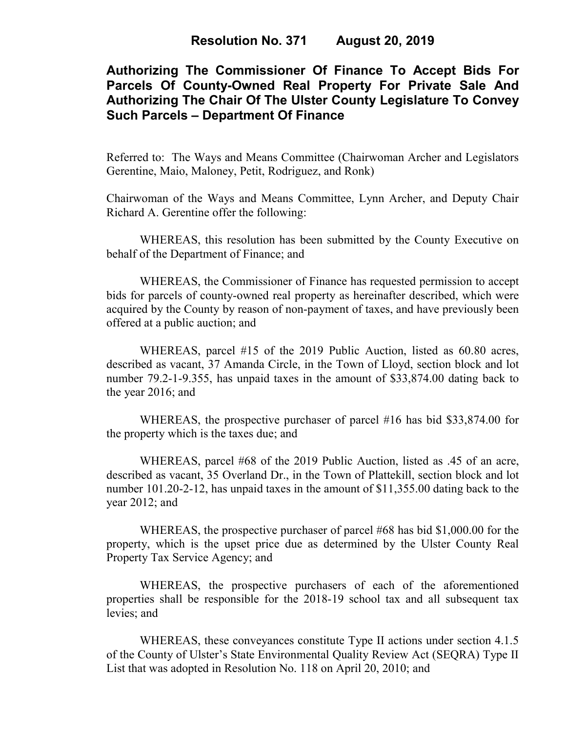# **Authorizing The Commissioner Of Finance To Accept Bids For Parcels Of County-Owned Real Property For Private Sale And Authorizing The Chair Of The Ulster County Legislature To Convey Such Parcels – Department Of Finance**

Referred to: The Ways and Means Committee (Chairwoman Archer and Legislators Gerentine, Maio, Maloney, Petit, Rodriguez, and Ronk)

Chairwoman of the Ways and Means Committee, Lynn Archer, and Deputy Chair Richard A. Gerentine offer the following:

WHEREAS, this resolution has been submitted by the County Executive on behalf of the Department of Finance; and

WHEREAS, the Commissioner of Finance has requested permission to accept bids for parcels of county-owned real property as hereinafter described, which were acquired by the County by reason of non-payment of taxes, and have previously been offered at a public auction; and

WHEREAS, parcel #15 of the 2019 Public Auction, listed as 60.80 acres, described as vacant, 37 Amanda Circle, in the Town of Lloyd, section block and lot number 79.2-1-9.355, has unpaid taxes in the amount of \$33,874.00 dating back to the year 2016; and

WHEREAS, the prospective purchaser of parcel #16 has bid \$33,874.00 for the property which is the taxes due; and

WHEREAS, parcel #68 of the 2019 Public Auction, listed as .45 of an acre, described as vacant, 35 Overland Dr., in the Town of Plattekill, section block and lot number 101.20-2-12, has unpaid taxes in the amount of \$11,355.00 dating back to the year 2012; and

WHEREAS, the prospective purchaser of parcel #68 has bid \$1,000.00 for the property, which is the upset price due as determined by the Ulster County Real Property Tax Service Agency; and

WHEREAS, the prospective purchasers of each of the aforementioned properties shall be responsible for the 2018-19 school tax and all subsequent tax levies; and

WHEREAS, these conveyances constitute Type II actions under section 4.1.5 of the County of Ulster's State Environmental Quality Review Act (SEQRA) Type II List that was adopted in Resolution No. 118 on April 20, 2010; and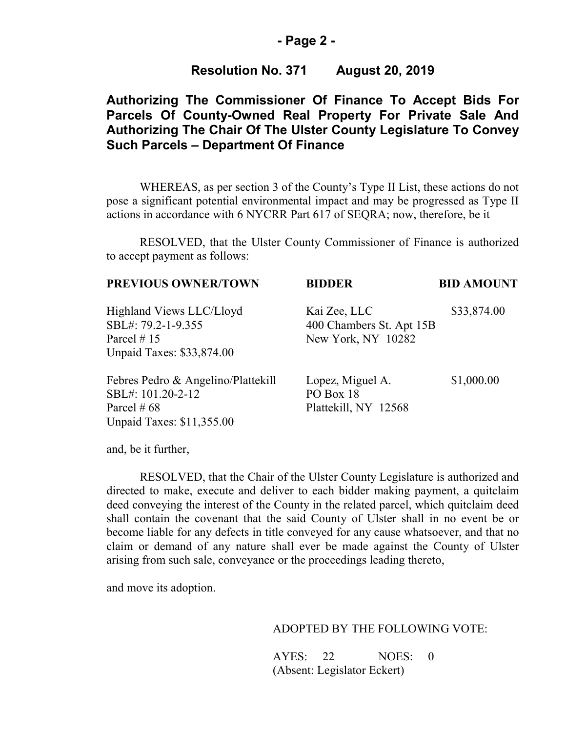### **- Page 2 -**

### **Resolution No. 371 August 20, 2019**

# **Authorizing The Commissioner Of Finance To Accept Bids For Parcels Of County-Owned Real Property For Private Sale And Authorizing The Chair Of The Ulster County Legislature To Convey Such Parcels – Department Of Finance**

WHEREAS, as per section 3 of the County's Type II List, these actions do not pose a significant potential environmental impact and may be progressed as Type II actions in accordance with 6 NYCRR Part 617 of SEQRA; now, therefore, be it

RESOLVED, that the Ulster County Commissioner of Finance is authorized to accept payment as follows:

| PREVIOUS OWNER/TOWN                | <b>BIDDER</b>            | <b>BID AMOUNT</b> |
|------------------------------------|--------------------------|-------------------|
| Highland Views LLC/Lloyd           | Kai Zee, LLC             | \$33,874.00       |
| SBL#: 79.2-1-9.355                 | 400 Chambers St. Apt 15B |                   |
| Parcel $# 15$                      | New York, NY 10282       |                   |
| Unpaid Taxes: \$33,874.00          |                          |                   |
| Febres Pedro & Angelino/Plattekill | Lopez, Miguel A.         | \$1,000.00        |
| SBL#: 101.20-2-12                  | PO Box 18                |                   |
| Parcel $\#68$                      | Plattekill, NY 12568     |                   |
| Unpaid Taxes: \$11,355.00          |                          |                   |

and, be it further,

RESOLVED, that the Chair of the Ulster County Legislature is authorized and directed to make, execute and deliver to each bidder making payment, a quitclaim deed conveying the interest of the County in the related parcel, which quitclaim deed shall contain the covenant that the said County of Ulster shall in no event be or become liable for any defects in title conveyed for any cause whatsoever, and that no claim or demand of any nature shall ever be made against the County of Ulster arising from such sale, conveyance or the proceedings leading thereto,

and move its adoption.

#### ADOPTED BY THE FOLLOWING VOTE:

AYES: 22 NOES: 0 (Absent: Legislator Eckert)